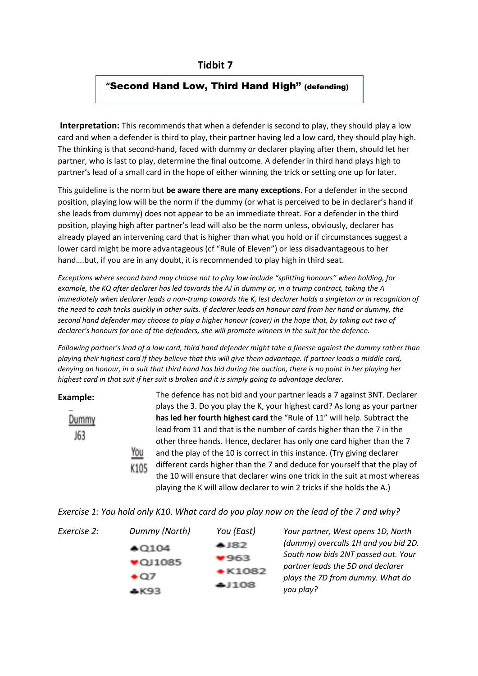# **Tidbit 7**

## **"**Second Hand Low, Third Hand High" (defending)

**Interpretation:** This recommends that when a defender is second to play, they should play a low card and when a defender is third to play, their partner having led a low card, they should play high. The thinking is that second-hand, faced with dummy or declarer playing after them, should let her partner, who is last to play, determine the final outcome. A defender in third hand plays high to partner's lead of a small card in the hope of either winning the trick or setting one up for later.

This guideline is the norm but **be aware there are many exceptions**. For a defender in the second position, playing low will be the norm if the dummy (or what is perceived to be in declarer's hand if she leads from dummy) does not appear to be an immediate threat. For a defender in the third position, playing high after partner's lead will also be the norm unless, obviously, declarer has already played an intervening card that is higher than what you hold or if circumstances suggest a lower card might be more advantageous (cf "Rule of Eleven") or less disadvantageous to her hand….but, if you are in any doubt, it is recommended to play high in third seat.

*Exceptions where second hand may choose not to play low include "splitting honours" when holding, for example, the KQ after declarer has led towards the AJ in dummy or, in a trump contract, taking the A immediately when declarer leads a non-trump towards the K, lest declarer holds a singleton or in recognition of the need to cash tricks quickly in other suits. If declarer leads an honour card from her hand or dummy, the second hand defender may choose to play a higher honour (cover) in the hope that, by taking out two of declarer's honours for one of the defenders, she will promote winners in the suit for the defence.* 

*Following partner's lead of a low card, third hand defender might take a finesse against the dummy rather than playing their highest card if they believe that this will give them advantage. If partner leads a middle card, denying an honour, in a suit that third hand has bid during the auction, there is no point in her playing her highest card in that suit if her suit is broken and it is simply going to advantage declarer.*

**Example:**

Dummy 163

The defence has not bid and your partner leads a 7 against 3NT. Declarer plays the 3. Do you play the K, your highest card? As long as your partner **has led her fourth highest card** the "Rule of 11" will help. Subtract the lead from 11 and that is the number of cards higher than the 7 in the other three hands. Hence, declarer has only one card higher than the 7 and the play of the 10 is correct in this instance. (Try giving declarer different cards higher than the 7 and deduce for yourself that the play of K105 the 10 will ensure that declarer wins one trick in the suit at most whereas playing the K will allow declarer to win 2 tricks if she holds the A.)

|  | Exercise 1: You hold only K10. What card do you play now on the lead of the 7 and why? |  |  |
|--|----------------------------------------------------------------------------------------|--|--|
|--|----------------------------------------------------------------------------------------|--|--|

| Exercise 2: | Dummy (North) | You (East)            | Your partner, West opens 1D, North                                       |
|-------------|---------------|-----------------------|--------------------------------------------------------------------------|
|             | $*$ Q104      | ▲ 82                  | (dummy) overcalls 1H and you bid 2D.                                     |
|             | $*$ QJ1085    | ,963<br>$\cdot$ K1082 | South now bids 2NT passed out. Your<br>partner leads the 5D and declarer |
|             | $+$ Q7<br>кчэ | <b>AI108</b>          | plays the 7D from dummy. What do<br>you play?                            |